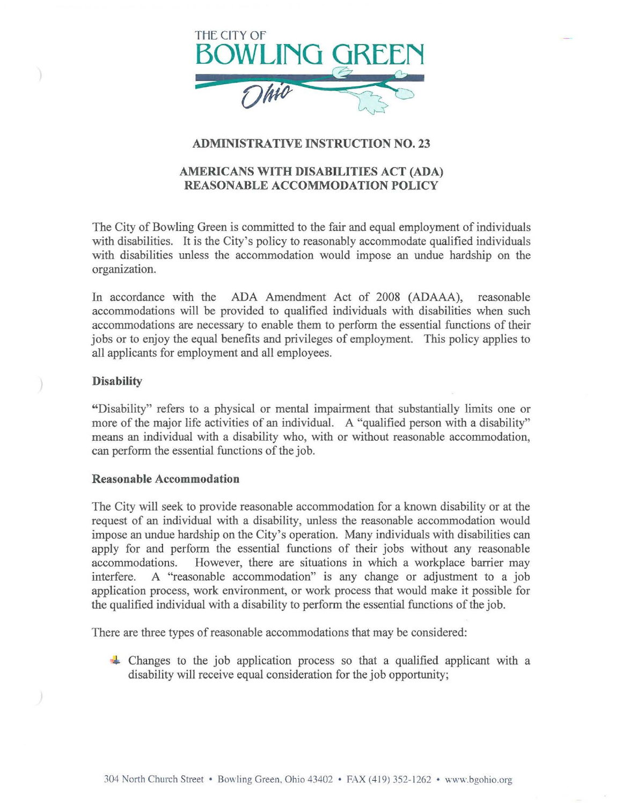

# ADMINISTRATIVE INSTRUCTION NO. 23

# AMERICANS WITH DISABILITIES ACT (ADA) REASONABLE ACCOMMODATION POLICY

The City of Bowling Green is committed to the fair and equal employment of individuals with disabilities. It is the City's policy to reasonably accommodate qualified individuals with disabilities unless the accommodation would impose an undue hardship on the organization.

In accordance with the ADA Amendment Act of 2008 (ADAAA), reasonable accommodations will be provided to qualified individuals with disabilities when such accommodations are necessary to enable them to perform the essential functions of their jobs or to enjoy the equal benefits and privileges of employment. This policy applies to all applicants for employment and all employees.

## **Disability**

"Disability" refers to a physical or mental impairment that substantially limits one or more of the major life activities of an individual. A "qualified person with a disability" means an individual with a disability who, with or without reasonable accommodation, can perform the essential functions of the job.

### Reasonable Accommodation

The City will seek to provide reasonable accommodation for a known disability or at the request of an individual with a disability, unless the reasonable accommodation would impose an undue hardship on the City's operation. Many individuals with disabilities can apply for and perform the essential functions of their jobs without any reasonable accommodations. However, there are situations in which a workplace barrier may interfere. A "reasonable accommodation" is any change or adjustment to a job application process, work environment, or work process that would make it possible for the qualified individual with a disability to perform the essential functions of the job.

There are three types of reasonable accommodations that may be considered:

<sup>~</sup>Changes to the job application process so that a qualified applicant with a disability will receive equal consideration for the job opportunity;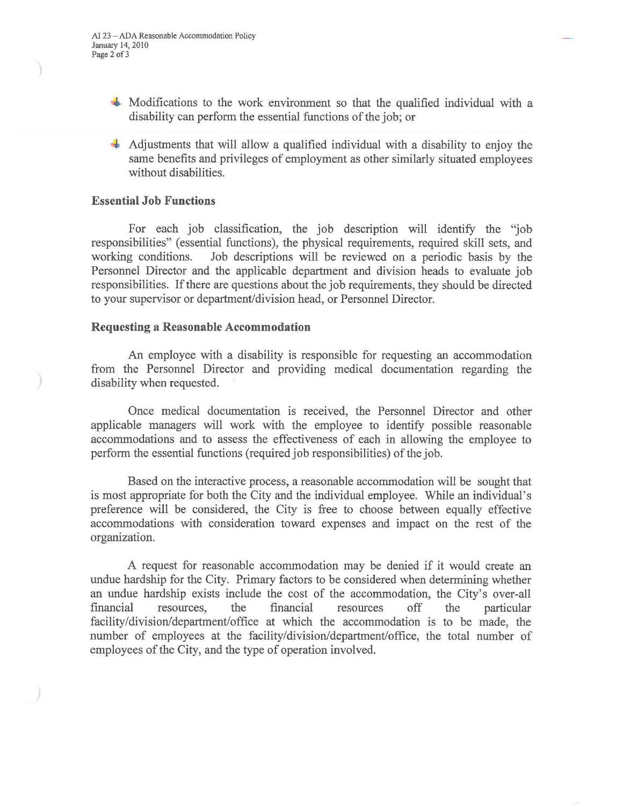- $\blacktriangle$  Modifications to the work environment so that the qualified individual with a disability can perform the essential functions of the job; or
- Adjustments that will allow a qualified individual with a disability to enjoy the same benefits and privileges of employment as other similarly situated employees without disabilities.

### **Essential Job Functions**

For each job classification, the job description will identify the 'job responsibilities" (essential functions), the physical requirements, required skill sets, and working conditions. Job descriptions will be reviewed on a periodic basis by the Personnel Director and the applicable department and division heads to evaluate job responsibilities. If there are questions about the job requirements, they should be directed to your supervisor or department/division head, or Personnel Director.

### **Requesting a Reasonable Accommodation**

An employee with a disability is responsible for requesting an accommodation from the Personnel Director and providing medical documentation regarding the disability when requested.

Once medical documentation is received, the Personnel Director and other applicable managers will work with the employee to identify possible reasonable accommodations and to assess the effectiveness of each in allowing the employee to perform the essential functions (required job responsibilities) of the job.

Based on the interactive process, a reasonable accommodation will be sought that is most appropriate for both the City and the individual employee. While an individual's preference will be considered, the City is free to choose between equally effective accommodations with consideration toward expenses and impact on the rest of the organization.

A request for reasonable accommodation may be denied if it would create an undue hardship for the City. Primary factors to be considered when determining whether an undue hardship exists include the cost of the accommodation, the City's over-all financial resources, the financial resources off the particular facility/division/department/office at which the accommodation is to be made, the number of employees at the facility/division/department/office, the total number of employees of the City, and the type of operation involved.